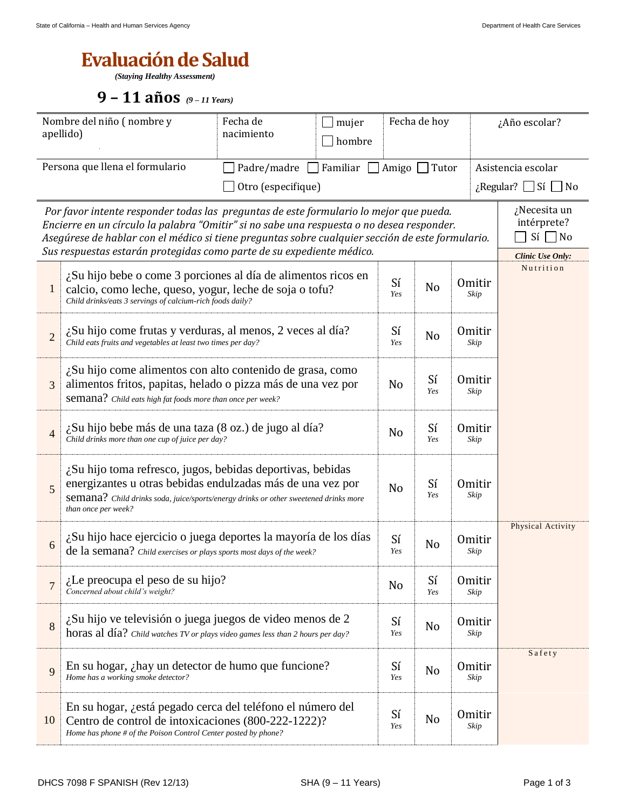## **Evaluación de Salud**

*(Staying Healthy Assessment)*

**9 – 11 años** *(9 – 11 Years)*

| Nombre del niño (nombre y<br>apellido)                                                                                                                                                                                                                                                                                                                           |                                                                                                                                                                                                                                         | Fecha de<br>Fecha de hoy<br>mujer<br>nacimiento<br>hombre |           |                | ¿Año escolar?         |                       |                                                                        |
|------------------------------------------------------------------------------------------------------------------------------------------------------------------------------------------------------------------------------------------------------------------------------------------------------------------------------------------------------------------|-----------------------------------------------------------------------------------------------------------------------------------------------------------------------------------------------------------------------------------------|-----------------------------------------------------------|-----------|----------------|-----------------------|-----------------------|------------------------------------------------------------------------|
| Persona que llena el formulario<br>Padre/madre Familiar<br>Otro (especifique)                                                                                                                                                                                                                                                                                    |                                                                                                                                                                                                                                         |                                                           |           |                | Amigo $\Box$ Tutor    |                       | Asistencia escolar<br>$i$ Regular? Sí No                               |
| Por favor intente responder todas las preguntas de este formulario lo mejor que pueda.<br>Encierre en un círculo la palabra "Omitir" si no sabe una respuesta o no desea responder.<br>Asegúrese de hablar con el médico si tiene preguntas sobre cualquier sección de este formulario.<br>Sus respuestas estarán protegidas como parte de su expediente médico. |                                                                                                                                                                                                                                         |                                                           |           |                |                       |                       | ¿Necesita un<br>intérprete?<br>$Si \Box No$<br><b>Clinic Use Only:</b> |
| $\mathbf{1}$                                                                                                                                                                                                                                                                                                                                                     | ¿Su hijo bebe o come 3 porciones al día de alimentos ricos en<br>calcio, como leche, queso, yogur, leche de soja o tofu?<br>Child drinks/eats 3 servings of calcium-rich foods daily?                                                   |                                                           |           |                |                       | <b>Omitir</b><br>Skip | Nutrition                                                              |
| $\overline{2}$                                                                                                                                                                                                                                                                                                                                                   | ¿Su hijo come frutas y verduras, al menos, 2 veces al día?<br>Child eats fruits and vegetables at least two times per day?                                                                                                              |                                                           | Sí<br>Yes | N <sub>o</sub> | <b>Omitir</b><br>Skip |                       |                                                                        |
| 3                                                                                                                                                                                                                                                                                                                                                                | ¿Su hijo come alimentos con alto contenido de grasa, como<br>alimentos fritos, papitas, helado o pizza más de una vez por<br>semana? Child eats high fat foods more than once per week?                                                 |                                                           |           |                |                       | <b>Omitir</b><br>Skip |                                                                        |
| $\overline{4}$                                                                                                                                                                                                                                                                                                                                                   | ¿Su hijo bebe más de una taza (8 oz.) de jugo al día?<br>Child drinks more than one cup of juice per day?                                                                                                                               |                                                           |           |                | Sí<br>Yes             | <b>Omitir</b><br>Skip |                                                                        |
| 5                                                                                                                                                                                                                                                                                                                                                                | ¿Su hijo toma refresco, jugos, bebidas deportivas, bebidas<br>energizantes u otras bebidas endulzadas más de una vez por<br>semana? Child drinks soda, juice/sports/energy drinks or other sweetened drinks more<br>than once per week? |                                                           |           |                |                       | <b>Omitir</b><br>Skip |                                                                        |
| 6                                                                                                                                                                                                                                                                                                                                                                | ¿Su hijo hace ejercicio o juega deportes la mayoría de los días<br>de la semana? Child exercises or plays sports most days of the week?                                                                                                 |                                                           |           |                | N <sub>o</sub>        | <b>Omitir</b><br>Skip | Physical Activity                                                      |
| $\overline{7}$                                                                                                                                                                                                                                                                                                                                                   | $i$ . Le preocupa el peso de su hijo?<br>Concerned about child's weight?                                                                                                                                                                |                                                           |           |                | Sí<br>Yes             | <b>Omitir</b><br>Skip |                                                                        |
| 8                                                                                                                                                                                                                                                                                                                                                                | ¿Su hijo ve televisión o juega juegos de video menos de 2<br>horas al día? Child watches TV or plays video games less than 2 hours per day?                                                                                             |                                                           | Sí<br>Yes | N <sub>o</sub> | <b>Omitir</b><br>Skip |                       |                                                                        |
| 9                                                                                                                                                                                                                                                                                                                                                                | En su hogar, ¿hay un detector de humo que funcione?<br>Home has a working smoke detector?                                                                                                                                               |                                                           |           | Sí<br>Yes      | N <sub>0</sub>        | <b>Omitir</b><br>Skip | Safety                                                                 |
| 10                                                                                                                                                                                                                                                                                                                                                               | En su hogar, ¿está pegado cerca del teléfono el número del<br>Centro de control de intoxicaciones (800-222-1222)?<br>Home has phone # of the Poison Control Center posted by phone?                                                     |                                                           |           | Sí<br>Yes      | N <sub>0</sub>        | <b>Omitir</b><br>Skip |                                                                        |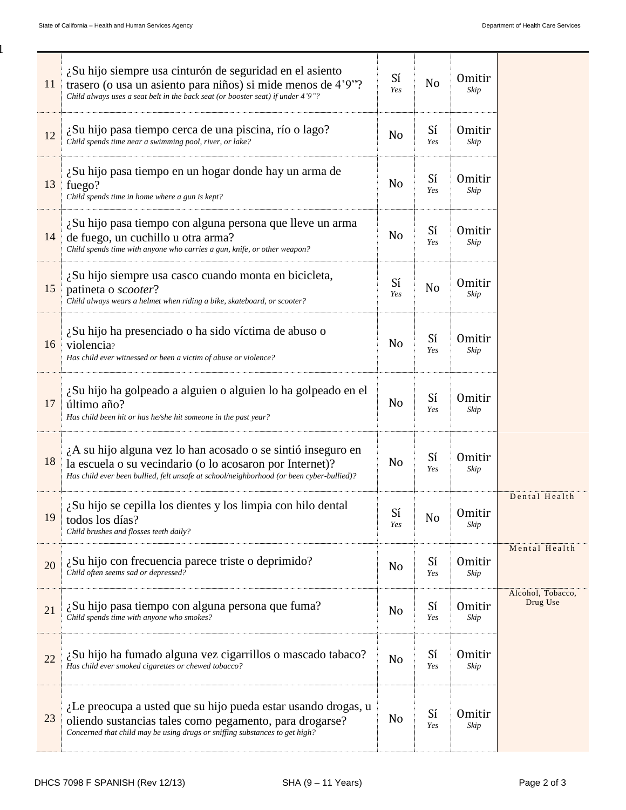1

| 11 | ¿Su hijo siempre usa cinturón de seguridad en el asiento<br>trasero (o usa un asiento para niños) si mide menos de 4'9"?<br>Child always uses a seat belt in the back seat (or booster seat) if under 4'9"?                   | Sí<br>Yes      | N <sub>o</sub> | <b>Omitir</b><br>Skip |                               |
|----|-------------------------------------------------------------------------------------------------------------------------------------------------------------------------------------------------------------------------------|----------------|----------------|-----------------------|-------------------------------|
| 12 | ¿Su hijo pasa tiempo cerca de una piscina, río o lago?<br>Child spends time near a swimming pool, river, or lake?                                                                                                             | N <sub>o</sub> | Sí<br>Yes      | <b>Omitir</b><br>Skip |                               |
| 13 | ¿Su hijo pasa tiempo en un hogar donde hay un arma de<br>fuego?<br>Child spends time in home where a gun is kept?                                                                                                             | No             | Sí<br>Yes      | <b>Omitir</b><br>Skip |                               |
| 14 | $\lambda$ Su hijo pasa tiempo con alguna persona que lleve un arma<br>de fuego, un cuchillo u otra arma?<br>Child spends time with anyone who carries a gun, knife, or other weapon?                                          | No             | Sí<br>Yes      | <b>Omitir</b><br>Skip |                               |
| 15 | ¿Su hijo siempre usa casco cuando monta en bicicleta,<br>patineta o <i>scooter</i> ?<br>Child always wears a helmet when riding a bike, skateboard, or scooter?                                                               | Sí<br>Yes      | No             | <b>Omitir</b><br>Skip |                               |
| 16 | ¿Su hijo ha presenciado o ha sido víctima de abuso o<br>violencia?<br>Has child ever witnessed or been a victim of abuse or violence?                                                                                         | N <sub>0</sub> | Sí<br>Yes      | <b>Omitir</b><br>Skip |                               |
| 17 | ¿Su hijo ha golpeado a alguien o alguien lo ha golpeado en el<br>último año?<br>Has child been hit or has he/she hit someone in the past year?                                                                                | No             | Sí<br>Yes      | <b>Omitir</b><br>Skip |                               |
| 18 | $\lambda$ A su hijo alguna vez lo han acosado o se sintió inseguro en<br>la escuela o su vecindario (o lo acosaron por Internet)?<br>Has child ever been bullied, felt unsafe at school/neighborhood (or been cyber-bullied)? | No             | Sí<br>Yes      | <b>Omitir</b><br>Skip |                               |
| 19 | $\lambda$ Su hijo se cepilla los dientes y los limpia con hilo dental<br>todos los días?<br>Child brushes and flosses teeth daily?                                                                                            | Sí<br>Yes      | N0             | Omitir<br>Skip        | Dental Health                 |
| 20 | $\lambda$ Su hijo con frecuencia parece triste o deprimido?<br>Child often seems sad or depressed?                                                                                                                            | No             | Sí<br>Yes      | <b>Omitir</b><br>Skip | Mental Health                 |
| 21 | ¿Su hijo pasa tiempo con alguna persona que fuma?<br>Child spends time with anyone who smokes?                                                                                                                                | No             | Sí<br>Yes      | Omitir<br>Skip        | Alcohol, Tobacco,<br>Drug Use |
| 22 | ¿Su hijo ha fumado alguna vez cigarrillos o mascado tabaco?<br>Has child ever smoked cigarettes or chewed tobacco?                                                                                                            | No             | Sí<br>Yes      | <b>Omitir</b><br>Skip |                               |
| 23 | ¿Le preocupa a usted que su hijo pueda estar usando drogas, u<br>oliendo sustancias tales como pegamento, para drogarse?<br>Concerned that child may be using drugs or sniffing substances to get high?                       | No             | Sí<br>Yes      | <b>Omitir</b><br>Skip |                               |